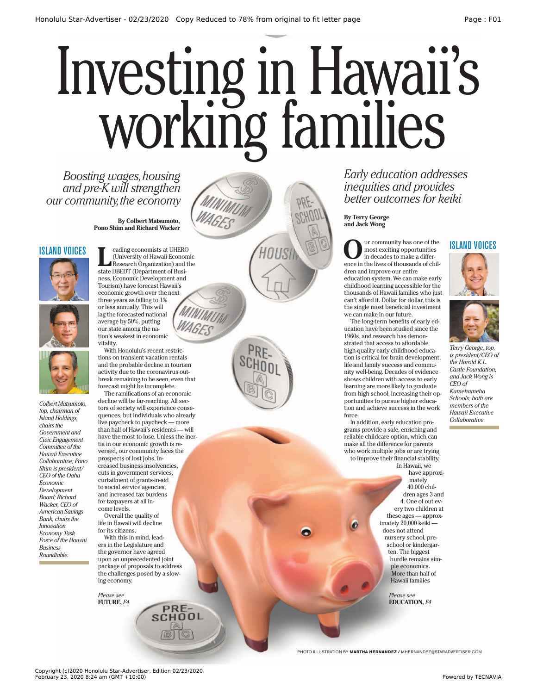# working families Investing in Hawaii's

*Boosting wages, housing and pre-K will strengthen our community, the economy* 

> **By Colbert Matsumoto, Pono Shim and Richard Wacker**

### ISLAND VOICES







*Colbert Matsumoto, top, chairman of Island Holdings, chairs the Government and Civic Engagement Committee of the Hawaii Executive Collaborative; Pono Shim is president/ CEO of the Oahu Economic Development Board; Richard Wacker, CEO of American Savings Bank, chairs the Innovation Economy Task Force of the Hawaii Business Roundtable.*

**Leading economists at UHERO<br>
(University of Hawaii Economic<br>
Research Organization) and the<br>
state DBEDT (Department of Busi-**(University of Hawaii Economic state DBEDT (Department of Business, Economic Development and Tourism) have forecast Hawaii's economic growth over the next three years as falling to 1% or less annually. This will lag the forecasted national average by 50%, putting our state among the nation's weakest in economic vitality.

With Honolulu's recent restrictions on transient vacation rentals and the probable decline in tourism activity due to the coronavirus outbreak remaining to be seen, even that forecast might be incomplete.

The ramifications of an economic decline will be far-reaching. All sectors of society will experience consequences, but individuals who already live paycheck to paycheck — more than half of Hawaii's residents — will have the most to lose. Unless the inertia in our economic growth is reversed, our community faces the prospects of lost jobs, increased business insolvencies, cuts in government services, curtailment of grants-in-aid to social service agencies, and increased tax burdens for taxpayers at all income levels.

Overall the quality of life in Hawaii will decline for its citizens.

With this in mind, leaders in the Legislature and the governor have agreed upon an unprecedented joint package of proposals to address the challenges posed by a slowing economy.

> PRE-**SCHOOL**

*Please see* **FUTURE,** *F4*

*Early education addresses inequities and provides better outcomes for keiki*

#### **By Terry George and Jack Wong**

**O**ur community has one of the<br>in decades to make a difference in the lives of thousands of chilmost exciting opportunities in decades to make a difference in the lives of thousands of children and improve our entire education system. We can make early childhood learning accessible for the thousands of Hawaii families who just can't afford it. Dollar for dollar, this is the single most beneficial investment we can make in our future.

The long-term benefits of early education have been studied since the 1960s, and research has demonstrated that access to affordable, high-quality early childhood education is critical for brain development, life and family success and community well-being. Decades of evidence shows children with access to early learning are more likely to graduate from high school, increasing their opportunities to pursue higher education and achieve success in the work force.

In addition, early education programs provide a safe, enriching and reliable childcare option, which can make all the difference for parents who work multiple jobs or are trying to improve their financial stability. In Hawaii, we

> have approximately 40,000 children ages 3 and 4. One of out every two children at these ages — approximately 20,000 keiki does not attend nursery school, preschool or kindergarten. The biggest hurdle remains simple economics. More than half of Hawaii families

> > *Please see* **EDUCATION, F4**

PHOTO ILLUSTRATION BY **MARTHA HERNANDEZ /** MHERNANDEZ@STARADVERTISER.COM





*Terry George, top, is president/CEO of the Harold K.L. Castle Foundation, and Jack Wong is CEO of Kamehameha Schools; both are members of the Hawaii Executive Collaborative.*

Copyright (c)2020 Honolulu Star-Advertiser, Edition 02/23/2020 February 23, 2020 8:24 am (GMT +10:00) Powered by TECNAVIA